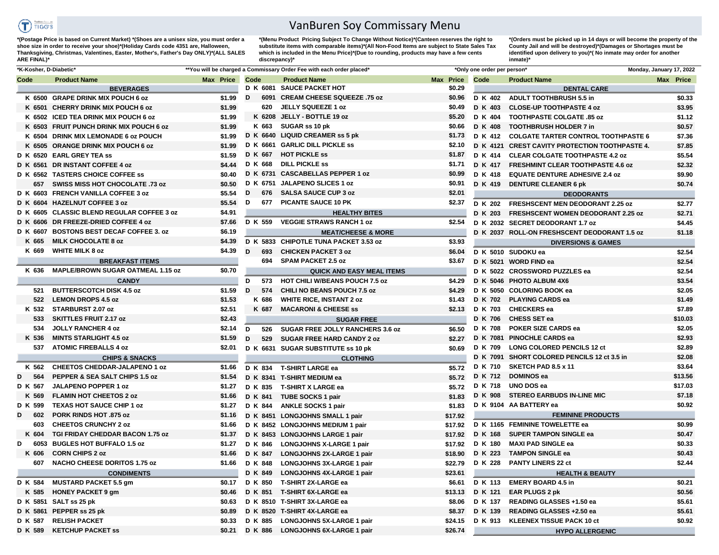

## VanBuren Soy Commissary Menu

**\*(Postage Price is based on Current Market) \*(Shoes are a unisex size, you must order a shoe size in order to receive your shoe)\*(Holiday Cards code 4351 are, Halloween, Thanksgiving, Christmas, Valentines, Easter, Mother's, Father's Day ONLY)\*(ALL SALES ARE FINAL)\***

**\*(Menu Product Pricing Subject To Change Without Notice)\*(Canteen reserves the right to**  substitute items with comparable items)<sup>\*</sup>(All Non-Food Items are subject to State Sales Tax which is included in the Menu Price)\*(Due to rounding, products may have a few cents **discrepancy)\*** 

**\*(Orders must be picked up in 14 days or will become the property of the County Jail and will be destroyed)\*(Damages or Shortages must be identified upon delivery to you)\*( No inmate may order for another inmate)\***

| *K-Kosher, D-Diabetic* |                                            |           |      |                | **You will be charged a Commissary Order Fee with each order placed*    |           | *Only one order per person' |                                                | Monday, January 17, 2022 |
|------------------------|--------------------------------------------|-----------|------|----------------|-------------------------------------------------------------------------|-----------|-----------------------------|------------------------------------------------|--------------------------|
| Code                   | <b>Product Name</b>                        | Max Price | Code |                | <b>Product Name</b>                                                     | Max Price | Code                        | <b>Product Name</b>                            | Max Price                |
|                        | <b>BEVERAGES</b>                           |           |      |                | D K 6081 SAUCE PACKET HOT                                               | \$0.29    |                             | <b>DENTAL CARE</b>                             |                          |
|                        | K 6500 GRAPE DRINK MIX POUCH 6 oz          | \$1.99    | D    |                | 6091 CREAM CHEESE SQUEEZE .75 oz                                        | \$0.96    | D K 402                     | <b>ADULT TOOTHBRUSH 5.5 in</b>                 | \$0.33                   |
|                        | K 6501 CHERRY DRINK MIX POUCH 6 oz         | \$1.99    |      | 620            | <b>JELLY SQUEEZE 1 oz</b>                                               | \$0.49    | D K 403                     | <b>CLOSE-UP TOOTHPASTE 4 oz</b>                | \$3.95                   |
|                        | K 6502 ICED TEA DRINK MIX POUCH 6 oz       | \$1.99    |      | K 6208         | JELLY - BOTTLE 19 oz                                                    | \$5.20    | <b>D</b> K 404              | <b>TOOTHPASTE COLGATE .85 oz</b>               | \$1.12                   |
|                        | K 6503 FRUIT PUNCH DRINK MIX POUCH 6 oz    | \$1.99    |      | K 663          | SUGAR ss 10 pk                                                          | \$0.66    | D K 408                     | <b>TOOTHBRUSH HOLDER 7 in</b>                  | \$0.57                   |
|                        | K 6504 DRINK MIX LEMONADE 6 oz POUCH       | \$1.99    |      |                | D K 6640 LIQUID CREAMER ss 5 pk                                         | \$1.73    | D K 412                     | <b>COLGATE TARTER CONTROL TOOTHPASTE 6</b>     | \$7.36                   |
|                        | K 6505 ORANGE DRINK MIX POUCH 6 oz         | \$1.99    |      |                | D K 6661 GARLIC DILL PICKLE SS                                          | \$2.10    |                             | D K 4121 CREST CAVITY PROTECTION TOOTHPASTE 4. | \$7.85                   |
|                        | D K 6520 EARL GREY TEA ss                  | \$1.59    |      | D K 667        | <b>HOT PICKLE ss</b>                                                    | \$1.87    | <b>D</b> K 414              | <b>CLEAR COLGATE TOOTHPASTE 4.2 oz</b>         | \$5.54                   |
|                        | D K 6561 DR INSTANT COFFEE 4 oz            | \$4.44    |      | D K 668        | <b>DILL PICKLE SS</b>                                                   | \$1.71    | <b>D</b> K 417              | <b>FRESHMINT CLEAR TOOTHPASTE 4.6 oz</b>       | \$2.32                   |
|                        | D K 6562 TASTERS CHOICE COFFEE SS          | \$0.40    |      |                | D K 6731 CASCABELLAS PEPPER 1 oz                                        | \$0.99    | D K 418                     | <b>EQUATE DENTURE ADHESIVE 2.4 oz</b>          | \$9.90                   |
| 657                    | SWISS MISS HOT CHOCOLATE .73 oz            | \$0.50    |      |                | D K 6751 JALAPENO SLICES 1 oz                                           | \$0.91    | D K 419                     | <b>DENTURE CLEANER 6 pk</b>                    | \$0.74                   |
|                        | D K 6603 FRENCH VANILLA COFFEE 3 oz        | \$5.54    | D    | 676            | <b>SALSA SAUCE CUP 3 oz</b>                                             | \$2.01    |                             | <b>DEODORANTS</b>                              |                          |
| D K 6604               | <b>HAZELNUT COFFEE 3 oz</b>                | \$5.54    | D    | 677            | <b>PICANTE SAUCE 10 PK</b>                                              | \$2.37    | D K 202                     | FRESHSCENT MEN DEODORANT 2.25 oz               | \$2.77                   |
|                        | D K 6605 CLASSIC BLEND REGULAR COFFEE 3 oz | \$4.91    |      |                | <b>HEALTHY BITES</b>                                                    |           | D K 203                     | <b>FRESHSCENT WOMEN DEODORANT 2.25 oz</b>      | \$2.71                   |
| D K 6606               | DR FREEZE-DRIED COFFEE 4 oz                | \$7.66    |      | D K 559        | <b>VEGGIE STRAWS RANCH 1 oz</b>                                         | \$2.54    |                             | D K 2032 SECRET DEODORANT 1.7 oz               | \$4.45                   |
| D K 6607               | <b>BOSTONS BEST DECAF COFFEE 3. oz</b>     | \$6.19    |      |                | <b>MEAT/CHEESE &amp; MORE</b>                                           |           |                             | D K 2037 ROLL-ON FRESHSCENT DEODORANT 1.5 oz   | \$1.18                   |
| K 665                  | <b>MILK CHOCOLATE 8 oz</b>                 | \$4.39    |      |                | D K 5833 CHIPOTLE TUNA PACKET 3.53 oz                                   | \$3.93    |                             | <b>DIVERSIONS &amp; GAMES</b>                  |                          |
| K 669                  | <b>WHITE MILK 8 oz</b>                     | \$4.39    | D    | 693            | <b>CHICKEN PACKET 3 oz</b>                                              | \$6.04    |                             | D K 5010 SUDOKU ea                             | \$2.54                   |
|                        | <b>BREAKFAST ITEMS</b>                     |           |      | 694            | <b>SPAM PACKET 2.5 oz</b>                                               | \$3.67    |                             | D K 5021 WORD FIND ea                          | \$2.54                   |
| K 636                  | <b>MAPLE/BROWN SUGAR OATMEAL 1.15 oz</b>   | \$0.70    |      |                | <b>QUICK AND EASY MEAL ITEMS</b>                                        |           |                             | D K 5022 CROSSWORD PUZZLES ea                  | \$2.54                   |
|                        | <b>CANDY</b>                               |           | D    | 573            | <b>HOT CHILI W/BEANS POUCH 7.5 oz</b>                                   | \$4.29    |                             | D K 5046 PHOTO ALBUM 4X6                       | \$3.54                   |
| 521                    | <b>BUTTERSCOTCH DISK 4.5 oz</b>            | \$1.59    | D    | 574            | CHILI NO BEANS POUCH 7.5 oz                                             | \$4.29    |                             | D K 5050 COLORING BOOK ea                      | \$2.05                   |
| 522                    | <b>LEMON DROPS 4.5 oz</b>                  | \$1.53    |      | K 686          | <b>WHITE RICE, INSTANT 2 oz</b>                                         | \$1.43    | <b>D K 702</b>              | <b>PLAYING CARDS ea</b>                        | \$1.49                   |
| K 532                  | STARBURST 2.07 oz                          | \$2.51    |      | K 687          | <b>MACARONI &amp; CHEESE ss</b>                                         | \$2.13    | D K 703                     | <b>CHECKERS</b> ea                             | \$7.89                   |
| 533                    | <b>SKITTLES FRUIT 2.17 oz</b>              | \$2.43    |      |                | <b>SUGAR FREE</b>                                                       |           | <b>D K 706</b>              | CHESS SET ea                                   | \$10.03                  |
| 534                    | <b>JOLLY RANCHER 4 oz</b>                  | \$2.14    | D    | 526            | <b>SUGAR FREE JOLLY RANCHERS 3.6 oz</b>                                 | \$6.50    | <b>D K 708</b>              | <b>POKER SIZE CARDS ea</b>                     | \$2.05                   |
| K 536                  | <b>MINTS STARLIGHT 4.5 oz</b>              | \$1.59    | D    | 529            |                                                                         | \$2.27    |                             | D K 7081 PINOCHLE CARDS ea                     | \$2.93                   |
| 537                    | <b>ATOMIC FIREBALLS 4 oz</b>               | \$2.01    |      |                | <b>SUGAR FREE HARD CANDY 2 oz</b><br>D K 6631 SUGAR SUBSTITUTE ss 10 pk | \$0.69    | D K 709                     | <b>LONG COLORED PENCILS 12 ct</b>              | \$2.89                   |
|                        |                                            |           |      |                |                                                                         |           |                             | D K 7091 SHORT COLORED PENCILS 12 ct 3.5 in    | \$2.08                   |
|                        | <b>CHIPS &amp; SNACKS</b>                  |           |      |                | <b>CLOTHING</b>                                                         |           | <b>D K 710</b>              | SKETCH PAD 8.5 x 11                            | \$3.64                   |
| K 562                  | <b>CHEETOS CHEDDAR-JALAPENO 1 oz</b>       | \$1.66    |      | D K 834        | T-SHIRT LARGE ea                                                        | \$5.72    |                             | D K 712 DOMINOS ea                             | \$13.56                  |
| D<br>564               | PEPPER & SEA SALT CHIPS 1.5 oz             | \$1.54    |      |                | D K 8341 T-SHIRT MEDIUM ea                                              | \$5.72    |                             | UNO DOS ea                                     | \$17.03                  |
| D K 567                | JALAPENO POPPER 1 oz                       | \$1.27    |      | D K 835        | T-SHIRT X LARGE ea                                                      | \$5.72    | D K 718                     |                                                | \$7.18                   |
| K 569                  | <b>FLAMIN HOT CHEETOS 2 oz</b>             | \$1.66    |      | D K 841        | <b>TUBE SOCKS 1 pair</b>                                                | \$1.83    | D K 908                     | <b>STEREO EARBUDS IN-LINE MIC</b>              |                          |
| D K 599                | <b>TEXAS HOT SAUCE CHIP 1 oz</b>           | \$1.27    |      | <b>D K 844</b> | <b>ANKLE SOCKS 1 pair</b>                                               | \$1.83    |                             | D K 9104 AA BATTERY ea                         | \$0.92                   |
| 602<br>D               | PORK RINDS HOT .875 oz                     | \$1.16    |      |                | D K 8451 LONGJOHNS SMALL 1 pair                                         | \$17.92   |                             | <b>FEMININE PRODUCTS</b>                       |                          |
| 603                    | <b>CHEETOS CRUNCHY 2 oz</b>                | \$1.66    |      |                | D K 8452 LONGJOHNS MEDIUM 1 pair                                        | \$17.92   |                             | D K 1165 FEMININE TOWELETTE ea                 | \$0.99                   |
| K 604                  | TGI FRIDAY CHEDDAR BACON 1.75 oz           | \$1.37    |      |                | D K 8453 LONGJOHNS LARGE 1 pair                                         | \$17.92   | D K 168                     | <b>SUPER TAMPON SINGLE ea</b>                  | \$0.47                   |
| D<br>6053              | <b>BUGLES HOT BUFFALO 1.5 oz</b>           | \$1.27    |      | D K 846        | <b>LONGJOHNS X-LARGE 1 pair</b>                                         | \$17.92   | D K 180                     | <b>MAXI PAD SINGLE ea</b>                      | \$0.33                   |
| K 606                  | <b>CORN CHIPS 2 oz</b>                     | \$1.66    |      | <b>D K 847</b> | <b>LONGJOHNS 2X-LARGE 1 pair</b>                                        | \$18.90   | D K 223                     | <b>TAMPON SINGLE ea</b>                        | \$0.43                   |
| 607                    | <b>NACHO CHEESE DORITOS 1.75 oz</b>        | \$1.66    |      | D K 848        | <b>LONGJOHNS 3X-LARGE 1 pair</b>                                        | \$22.79   | D K 228                     | <b>PANTY LINERS 22 ct</b>                      | \$2.44                   |
|                        | <b>CONDIMENTS</b>                          |           |      | D K 849        | <b>LONGJOHNS 4X-LARGE 1 pair</b>                                        | \$23.61   |                             | <b>HEALTH &amp; BEAUTY</b>                     |                          |
| D K 584                | <b>MUSTARD PACKET 5.5 gm</b>               | \$0.17    |      | D K 850        | <b>T-SHIRT 2X-LARGE ea</b>                                              | \$6.61    | D K 113                     | <b>EMERY BOARD 4.5 in</b>                      | \$0.21                   |
| K 585                  | <b>HONEY PACKET 9 gm</b>                   | \$0.46    |      | D K 851        | <b>T-SHIRT 6X-LARGE ea</b>                                              | \$13.13   | D K 121                     | <b>EAR PLUGS 2 pk</b>                          | \$0.56                   |
|                        | D K 5851 SALT ss 25 pk                     | \$0.63    |      |                | D K 8510 T-SHIRT 3X-LARGE ea                                            | \$8.06    | <b>D K 137</b>              | <b>READING GLASSES +1.50 ea</b>                | \$5.61                   |
|                        | D K 5861 PEPPER ss 25 pk                   | \$0.89    |      |                | D K 8520 T-SHIRT 4X-LARGE ea                                            | \$8.37    | D K 139                     | READING GLASSES +2.50 ea                       | \$5.61                   |
| D K 587                | <b>RELISH PACKET</b>                       | \$0.33    |      | D K 885        | <b>LONGJOHNS 5X-LARGE 1 pair</b>                                        | \$24.15   | D K 913                     | <b>KLEENEX TISSUE PACK 10 ct</b>               | \$0.92                   |
| D K 589                | <b>KETCHUP PACKET SS</b>                   | \$0.21    |      | D K 886        | <b>LONGJOHNS 6X-LARGE 1 pair</b>                                        | \$26.74   |                             | <b>HYPO ALLERGENIC</b>                         |                          |